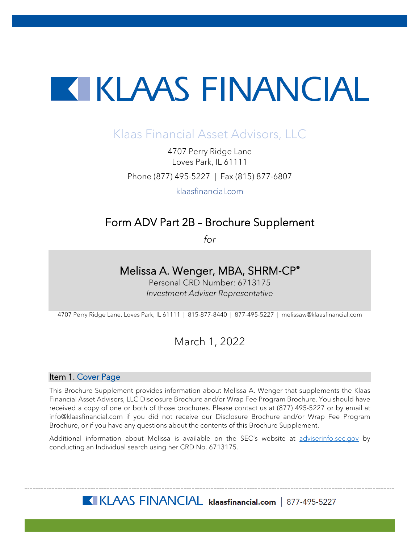# **KIKLAAS FINANCIAL**

# Klaas Financial Asset Advisors, LLC

4707 Perry Ridge Lane Loves Park, IL 61111 Phone (877) 495-5227 | Fax (815) 877-6807

klaasfinancial.com

## Form ADV Part 2B – Brochure Supplement

*for*

### Melissa A. Wenger, MBA, SHRM-CP®

Personal CRD Number: 6713175 *Investment Adviser Representative*

4707 Perry Ridge Lane, Loves Park, IL 61111 | 815-877-8440 | 877-495-5227 | melissaw@klaasfinancial.com

## March 1, 2022

#### Item 1. Cover Page

This Brochure Supplement provides information about Melissa A. Wenger that supplements the Klaas Financial Asset Advisors, LLC Disclosure Brochure and/or Wrap Fee Program Brochure. You should have received a copy of one or both of those brochures. Please contact us at (877) 495-5227 or by email at info@klaasfinancial.com if you did not receive our Disclosure Brochure and/or Wrap Fee Program Brochure, or if you have any questions about the contents of this Brochure Supplement.

Additional information about Melissa is available on the SEC's website at [adviserinfo.sec.gov](https://adviserinfo.sec.gov/) by conducting an Individual search using her CRD No. 6713175.

KLAAS FINANCIAL klaasfinancial.com | 877-495-5227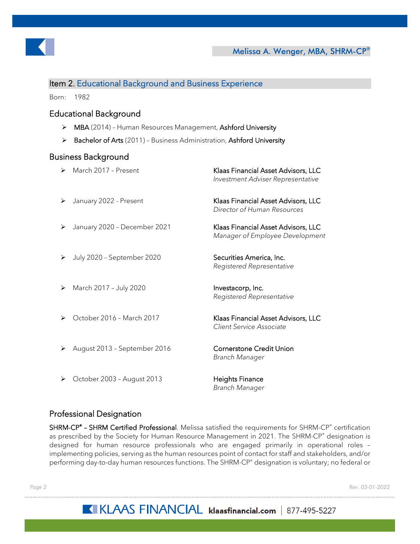

#### Item 2. Educational Background and Business Experience

Born: 1982

#### Educational Background

- > MBA (2014) Human Resources Management, Ashford University
- > Bachelor of Arts (2011) Business Administration, Ashford University

#### Business Background

|   | March 2017 - Present         | Klaas Financial Asset Advisors, LLC<br>Investment Adviser Representative |
|---|------------------------------|--------------------------------------------------------------------------|
| ➤ | January 2022 - Present       | Klaas Financial Asset Advisors, LLC<br>Director of Human Resources       |
| ➤ | January 2020 - December 2021 | Klaas Financial Asset Advisors, LLC<br>Manager of Employee Development   |
| ⋗ | July 2020 - September 2020   | Securities America, Inc.<br>Registered Representative                    |
| ➤ | March 2017 - July 2020       | Investacorp, Inc.<br>Registered Representative                           |
|   | October 2016 - March 2017    | Klaas Financial Asset Advisors, LLC<br>Client Service Associate          |
|   | August 2013 - September 2016 | <b>Cornerstone Credit Union</b><br>Branch Manager                        |
| ➤ | October 2003 - August 2013   | <b>Heights Finance</b><br>Branch Manager                                 |

#### Professional Designation

SHRM-CP<sup>®</sup> - SHRM Certified Professional. Melissa satisfied the requirements for SHRM-CP<sup>®</sup> certification as prescribed by the Society for Human Resource Management in 2021. The SHRM-CP® designation is designed for human resource professionals who are engaged primarily in operational roles – implementing policies, serving as the human resources point of contact for staff and stakeholders, and/or performing day-to-day human resources functions. The SHRM-CP® designation is voluntary; no federal or

*Page 2 Rev. 03-01-2022*

## KIKLAAS FINANCIAL klaasfinancial.com | 877-495-5227